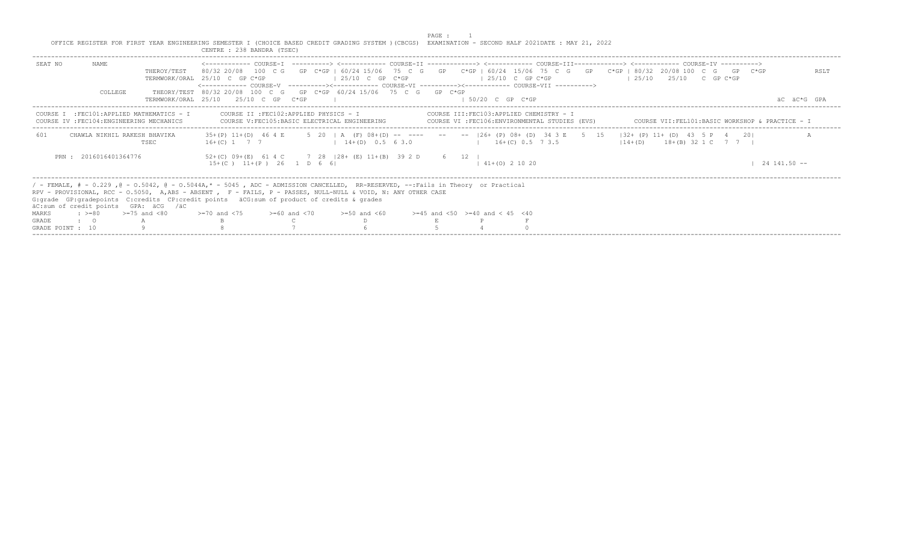PAGE : 1<br>OFFICE REGISTER FOR FIRST YEAR ENGINEERING SEMESTER I (CHOICE BASED CREDIT GRADING SYSTEM )(CBCGS) EXAMINATION - SECOND HALF 2021DATE : MAY 21, 2022<br>CENTRE : 238 BANDRA (TSEC)

| NAME<br>SEAT NO<br>THEROY/TEST<br>COLLEGE                                               | <------------- COURSE-T ----------> <------------ COURSE-TT -------------> <------------ COURSE-TTT-------------> <------------ COURSE-TV ----------><br>80/32 20/08 100 C G GP C*GP   60/24 15/06 75 C G GP C*GP   60/24 15/06 75 C G GP C*GP   80/32 20/08 100 C G GP C*GP<br>$125/10$ C GP C*GP<br>TERMWORK/ORAL 25/10 C GP C*GP<br><------------- COURSE-V ----------><----------- COURSE-VI ----------><----------- COURSE-VII ---------->><br>THEORY/TEST 80/32 20/08 100 C G GP C*GP 60/24 15/06 75 C G GP C*GP | $125/10$ C GP C*GP                       | RSLT<br>$125/10$ $25/10$ C GP C*GP                                                                  |
|-----------------------------------------------------------------------------------------|------------------------------------------------------------------------------------------------------------------------------------------------------------------------------------------------------------------------------------------------------------------------------------------------------------------------------------------------------------------------------------------------------------------------------------------------------------------------------------------------------------------------|------------------------------------------|-----------------------------------------------------------------------------------------------------|
|                                                                                         | TERMWORK/ORAL 25/10 25/10 C GP C*GP                                                                                                                                                                                                                                                                                                                                                                                                                                                                                    | $1.50/20$ C GP C*GP                      | AC AC*G GPA                                                                                         |
| COURSE I : FEC101: APPLIED MATHEMATICS - I<br>COURSE IV : FEC104: ENGINEERING MECHANICS | COURSE II :FEC102:APPLIED PHYSICS - I<br>COURSE V:FEC105:BASIC ELECTRICAL ENGINEERING                                                                                                                                                                                                                                                                                                                                                                                                                                  | COURSE III:FEC103:APPLIED CHEMISTRY - I  | COURSE VI :FEC106:ENVIRONMENTAL STUDIES (EVS)       COURSE VII:FEL101:BASIC WORKSHOP & PRACTICE - I |
| 601<br>CHAWLA NIKHIL RAKESH BHAVIKA<br><b>TSEC</b>                                      | 35+(P) 11+(D) 46 4 E 5 20   A (F) 08+(D) -- ---- -- --   26+ (P) 08+ (D) 34 3 E 5 15   32+ (P) 11+ (D) 43 5 P 4 20 <br>$14+(D)$ 0.5 6 3.0<br>$16+(C)$ 1 7 7                                                                                                                                                                                                                                                                                                                                                            | $16+(C) 0.5 7 3.5$                       | $114+(D)$ $18+(B)$ 32 1 C 7 7 1                                                                     |
| PRN: 2016016401364776                                                                   | 52+(C) 09+(E) 61 4 C 7 28   28+ (E) 11+(B) 39 2 D 6 12  <br>$15+(C)$ $11+(P)$ 26 1 D 6 6                                                                                                                                                                                                                                                                                                                                                                                                                               | $141+(0)21020$                           | $1 \quad 24 \quad 141.50 \quad --$                                                                  |
| äC:sum of credit points GPA: äCG /äC                                                    | / - FEMALE, # - 0.229, @ - 0.5042, @ - 0.5044A,* - 5045, ADC - ADMISSION CANCELLED, RR-RESERVED, --:Fails in Theory or Practical<br>RPV - PROVISIONAL, RCC - 0.5050, A,ABS - ABSENT , F - FAILS, P - PASSES, NULL-NULL & VOID, N: ANY OTHER CASE<br>G: qrade GP: qradepoints C: credits CP: credit points äCG: sum of product of credits & qrades                                                                                                                                                                      |                                          |                                                                                                     |
| $\pm$ >=80 >=75 and <80<br>MARKS                                                        | $>= 70$ and $< 75$ $>= 60$ and $< 70$<br>$>=50$ and $<60$                                                                                                                                                                                                                                                                                                                                                                                                                                                              | $>=45$ and $<50$ $>=40$ and $< 45$ $<40$ |                                                                                                     |
| $\cdot$ $\cdot$ 0<br>GRADE                                                              |                                                                                                                                                                                                                                                                                                                                                                                                                                                                                                                        |                                          |                                                                                                     |
| GRADE POINT : 10                                                                        |                                                                                                                                                                                                                                                                                                                                                                                                                                                                                                                        |                                          |                                                                                                     |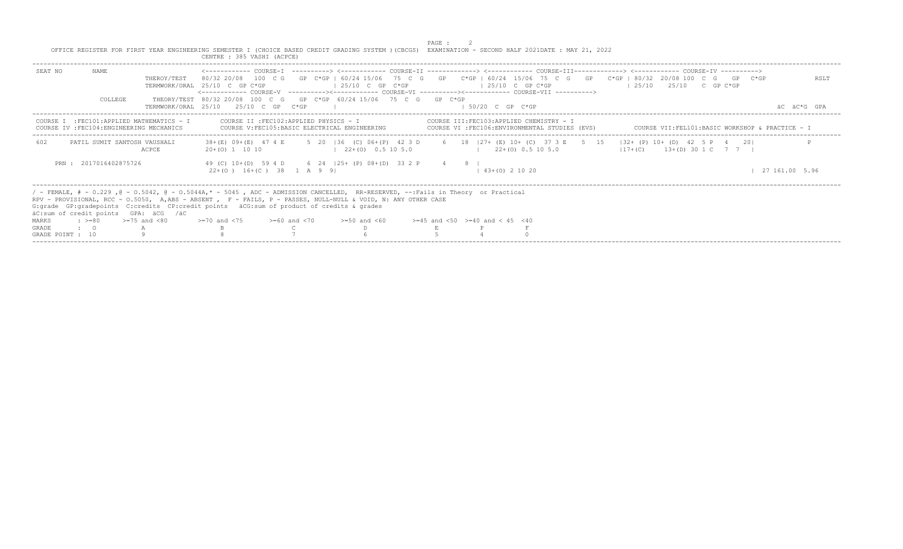|                  |                       |                                                                                         | OFFICE REGISTER FOR FIRST YEAR ENGINEERING SEMESTER I (CHOICE BASED CREDIT GRADING SYSTEM ) (CBCGS) EXAMINATION - SECOND HALF 2021DATE : MAY 21, 2022<br>CENTRE : 385 VASHI (ACPCE)                                                                                                                                                                                                                                                                                                                         |                      | PAGE : |                               |                                                                                          |                                                 |  |                |
|------------------|-----------------------|-----------------------------------------------------------------------------------------|-------------------------------------------------------------------------------------------------------------------------------------------------------------------------------------------------------------------------------------------------------------------------------------------------------------------------------------------------------------------------------------------------------------------------------------------------------------------------------------------------------------|----------------------|--------|-------------------------------|------------------------------------------------------------------------------------------|-------------------------------------------------|--|----------------|
| SEAT NO          | NAME<br>COLLEGE       | THEROY/TEST                                                                             | <------------ COURSE-T ----------> <----------- COURSE-TT -------------> <------------ COURSE-TTT------------> <------------ COURSE-TV ----------><br>80/32 20/08 100 C G GP C*GP   60/24 15/06 75 C G GP C*GP   60/24 15/06 75 C G GP C*GP   80/32 20/08 100 C G GP C*GP<br>TERMWORK/ORAL 25/10 C GP C*GP<br><------------- COURSE-V    ----------><-----------    COURSE-VI    -----------><----------    COURSE-VII    ----------><br>THEORY/TEST 80/32 20/08 100 C G GP C*GP 60/24 15/06 75 C G GP C*GP | $125/10$ C GP C*GP   |        | $125/10$ C GP C*GP            |                                                                                          | $125/10$ $25/10$ C GP C*GP                      |  | RSLT           |
|                  |                       |                                                                                         | TERMWORK/ORAL 25/10 25/10 C GP C*GP                                                                                                                                                                                                                                                                                                                                                                                                                                                                         |                      |        | $1.50/20$ C GP C*GP           |                                                                                          |                                                 |  | AC AC*G GPA    |
|                  |                       | COURSE I : FEC101: APPLIED MATHEMATICS - I<br>COURSE IV : FEC104: ENGINEERING MECHANICS | COURSE II : FEC102: APPLIED PHYSICS - I<br>COURSE V: FEC105: BASIC ELECTRICAL ENGINEERING                                                                                                                                                                                                                                                                                                                                                                                                                   |                      |        |                               | COURSE III:FEC103:APPLIED CHEMISTRY - I<br>COURSE VI :FEC106:ENVIRONMENTAL STUDIES (EVS) | COURSE VII:FEL101:BASIC WORKSHOP & PRACTICE - I |  |                |
| 602              |                       | PATIL SUMIT SANTOSH VAUSHALI<br><b>ACPCE</b>                                            | 38+(E) 09+(E) 47 4 E 5 20   36 (C) 06+(P) 42 3 D 6 18   27+ (E) 10+ (C) 37 3 E 5 15   32+ (P) 10+ (D) 42 5 P 4 20 <br>$20+(0)$ 1 10 10                                                                                                                                                                                                                                                                                                                                                                      | $122+(0)$ 0.5 10 5.0 |        | $1 \t22+(0) \t0.5 \t10 \t5.0$ |                                                                                          | $117+(C)$ $13+(D)$ 30 1 C 7 7 1                 |  |                |
|                  | PRN: 2017016402875726 |                                                                                         | 49 (C) 10+(D) 59 4 D 6 24   25+ (P) 08+(D) 33 2 P 4 8  <br>$22+(0)$ 16+(C) 38 1 A 9 91                                                                                                                                                                                                                                                                                                                                                                                                                      |                      |        | $(43 + (0) 2 10 20)$          |                                                                                          |                                                 |  | 27 161.00 5.96 |
|                  |                       | äC:sum of credit points GPA: äCG /äC                                                    | / - FEMALE, # - 0.229 , @ - 0.5042, @ - 0.5044A,* - 5045 , ADC - ADMISSION CANCELLED, RR-RESERVED, --:Fails in Theory or Practical<br>RPV - PROVISIONAL, RCC - 0.5050, A,ABS - ABSENT , F - FAILS, P - PASSES, NULL-NULL & VOID, N: ANY OTHER CASE<br>G: grade GP: gradepoints C: credits CP: credit points äCG: sum of product of credits & grades                                                                                                                                                         |                      |        |                               |                                                                                          |                                                 |  |                |
| MARKS            | $\cdot$ >=80          | $>=75$ and $< 80$                                                                       | $> = 70$ and $< 75$ $> = 60$ and $< 70$ $> = 50$ and $< 60$ $> = 45$ and $< 50$ $> = 40$ and $< 45$ $< 40$                                                                                                                                                                                                                                                                                                                                                                                                  |                      |        |                               |                                                                                          |                                                 |  |                |
| <b>GRADE</b>     | $\cdot$ $\cdot$ 0     |                                                                                         |                                                                                                                                                                                                                                                                                                                                                                                                                                                                                                             |                      |        |                               |                                                                                          |                                                 |  |                |
| GRADE POINT : 10 |                       |                                                                                         |                                                                                                                                                                                                                                                                                                                                                                                                                                                                                                             |                      |        |                               |                                                                                          |                                                 |  |                |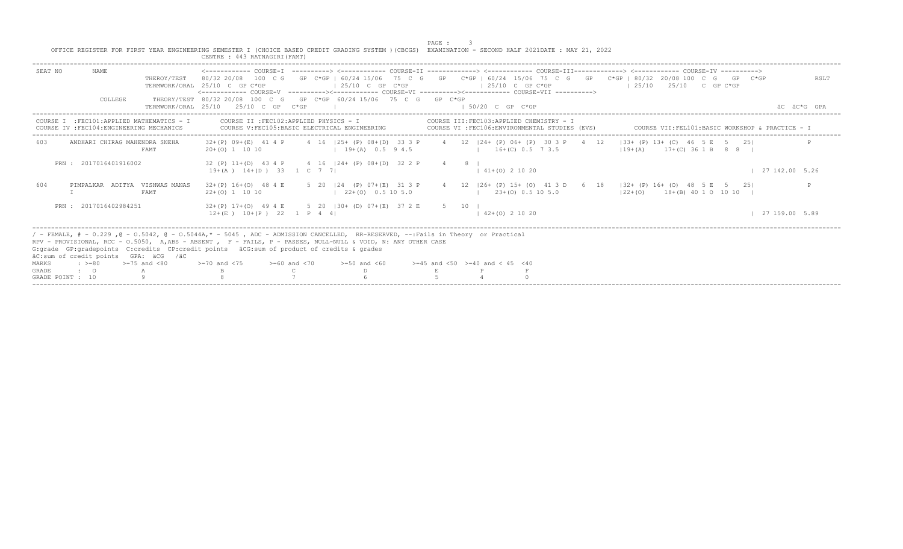|                                    |                                                                                         |                  | OFFICE REGISTER FOR FIRST YEAR ENGINEERING SEMESTER I (CHOICE BASED CREDIT GRADING SYSTEM ) (CBCGS) EXAMINATION - SECOND HALF 2021DATE : MAY 21, 2022<br>CENTRE : 443 RATNAGIRI (FAMT)                                                                                                                                                                                                 |                                                                                                                   | PAGE : |               |                                          |                                                                                              |                                                                                                                                                     |               |
|------------------------------------|-----------------------------------------------------------------------------------------|------------------|----------------------------------------------------------------------------------------------------------------------------------------------------------------------------------------------------------------------------------------------------------------------------------------------------------------------------------------------------------------------------------------|-------------------------------------------------------------------------------------------------------------------|--------|---------------|------------------------------------------|----------------------------------------------------------------------------------------------|-----------------------------------------------------------------------------------------------------------------------------------------------------|---------------|
| SEAT NO                            | <b>NAME</b>                                                                             | THEROY/TEST      | TERMWORK/ORAL 25/10 C GP C*GP<br><------------ COURSE-V ----------><----------- COURSE-VI ----------><----------- COURSE-VII ----------->                                                                                                                                                                                                                                              | $125/10$ C GP $C*GP$                                                                                              |        |               | $125/10$ C GP C*GP                       |                                                                                              | 80/32 20/08 100 C G GP C*GP   60/24 15/06 75 C G GP C*GP   60/24 15/06 75 C G GP C*GP   80/32 20/08 100 C G GP C*GP<br>$125/10$ $25/10$ C GP C*GP   | RSLT          |
|                                    | COLLEGE                                                                                 |                  | THEORY/TEST 80/32 20/08 100 C G GP C*GP 60/24 15/06 75 C G GP C*GP<br>TERMWORK/ORAL 25/10 25/10 C GP C*GP                                                                                                                                                                                                                                                                              |                                                                                                                   |        |               | $1.50/20$ C GP C*GP                      |                                                                                              |                                                                                                                                                     | äC äC*G GPA   |
|                                    | COURSE I : FEC101: APPLIED MATHEMATICS - I<br>COURSE IV : FEC104: ENGINEERING MECHANICS |                  | COURSE II : FEC102: APPLIED PHYSICS - I<br>COURSE V: FEC105: BASIC ELECTRICAL ENGINEERING                                                                                                                                                                                                                                                                                              |                                                                                                                   |        |               |                                          | COURSE III: FEC103: APPLIED CHEMISTRY - I<br>COURSE VI : FEC106: ENVIRONMENTAL STUDIES (EVS) | COURSE VII:FEL101:BASIC WORKSHOP & PRACTICE - I                                                                                                     |               |
| 603                                | ANDHARI CHIRAG MAHENDRA SNEHA                                                           | FAMT             | $20+ (0)$ 1 10 10                                                                                                                                                                                                                                                                                                                                                                      | $(19 + (A) 0.5 9 4.5)$ $(16 + (C) 0.5 7 3.5)$                                                                     |        |               |                                          |                                                                                              | 32+(P) 09+(E) 41 4 P 4 16 125+ (P) 08+(D) 33 3 P 4 12 124+ (P) 06+ (P) 30 3 P 4 12 133+ (P) 13+ (C) 46 5 E 5 251<br>$119+(A)$ $17+(C)$ 36 1 B 8 8 I |               |
|                                    | PRN: 2017016401916002                                                                   |                  | 32 (P) 11+(D) 43 4 P 4 16   24+ (P) 08+ (D) 32 2 P<br>$19+(A)$ $14+(D)$ 33 1 C 7 7                                                                                                                                                                                                                                                                                                     |                                                                                                                   |        | $4 \t 8 \t 1$ | $141+(0)21020$                           |                                                                                              |                                                                                                                                                     | 127142.005.26 |
| 604                                | PIMPALKAR ADITYA VISHWAS MANAS                                                          | FAMT             | $32+(P)$ 16+(0) 48 4 E<br>$22+(0)$ 1 10 10                                                                                                                                                                                                                                                                                                                                             | 5 20   24 (P) 07+(E) 31 3 P 4 12   26+ (P) 15+ (O) 41 3 D 6 18<br>$1 \quad 22 + (0) \quad 0.5 \quad 10 \quad 5.0$ |        |               |                                          | $1 \t23+100 \t0.5 \t10 \t5.0$                                                                | $ 32 + (P) 16 + (O) 48 5 E 5 25 $<br>$122+(0)$ 18 + (B) 40 1 0 10 10 1                                                                              |               |
|                                    | PRN: 2017016402984251                                                                   |                  | 32+(P) 17+(O) 49 4 E 5 20   30+ (D) 07+(E) 37 2 E 5 10  <br>$12+(E)$ $10+(P)$ 22 1 P 4 4                                                                                                                                                                                                                                                                                               |                                                                                                                   |        |               | $142+(0)21020$                           |                                                                                              |                                                                                                                                                     | 127159.005.89 |
| MARKS<br>GRADE<br>GRADE POINT : 10 | äC:sum of credit points GPA: äCG /äC<br>$\div$ >=80<br>$\cdot$ 0                        | $>=75$ and $<80$ | / - FEMALE, # - 0.229, @ - 0.5042, @ - 0.5044A,* - 5045, ADC - ADMISSION CANCELLED, RR-RESERVED, --:Fails in Theory or Practical<br>RPV - PROVISIONAL, RCC - 0.5050, A,ABS - ABSENT , F - FAILS, P - PASSES, NULL-NULL & VOID, N: ANY OTHER CASE<br>G: grade GP: gradepoints C: credits CP: credit points äCG: sum of product of credits & grades<br>$>=70$ and $<75$ $>=60$ and $<70$ | $>=50$ and $<60$                                                                                                  |        |               | $>=45$ and $<50$ $>=40$ and $< 45$ $<40$ |                                                                                              |                                                                                                                                                     |               |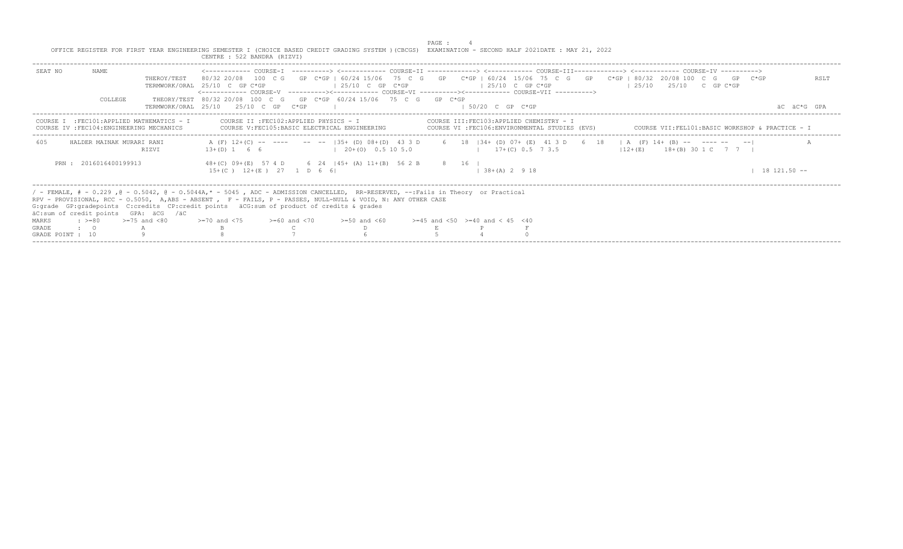|                  |                       |                                                                                        | OFFICE REGISTER FOR FIRST YEAR ENGINEERING SEMESTER I (CHOICE BASED CREDIT GRADING SYSTEM ) (CBCGS) EXAMINATION - SECOND HALF 2021DATE : MAY 21, 2022<br>CENTRE : 522 BANDRA (RIZVI)                                                                                                                                                                                                                                                                                                                  |                                                | PAGE : |                     |                                                                                            |  |                                                 |                  |
|------------------|-----------------------|----------------------------------------------------------------------------------------|-------------------------------------------------------------------------------------------------------------------------------------------------------------------------------------------------------------------------------------------------------------------------------------------------------------------------------------------------------------------------------------------------------------------------------------------------------------------------------------------------------|------------------------------------------------|--------|---------------------|--------------------------------------------------------------------------------------------|--|-------------------------------------------------|------------------|
| SEAT NO          | NAME                  | THEROY/TEST                                                                            | <------------ COURSE-T ----------> <----------- COURSE-TT -------------> <------------ COURSE-TTT------------> <------------ COURSE-TV -----------><br>80/32 20/08 100 C G GP C*GP   60/24 15/06 75 C G GP C*GP   60/24 15/06 75 C G GP C*GP   80/32 20/08 100 C G GP C*GP<br>TERMWORK/ORAL 25/10 C GP C*GP<br><------------ COURSE-V    ----------><----------- COURSE-VI    ----------><---------- COURSE-VII    ---------->><br>THEORY/TEST 80/32 20/08 100 C G GP C*GP 60/24 15/06 75 C G GP C*GP | $125/10$ C GP C*GP                             |        | $125/10$ C GP C*GP  |                                                                                            |  | $125/10$ $25/10$ C GP C*GP                      | RSLT             |
|                  | COLLEGE               |                                                                                        | TERMWORK/ORAL 25/10 25/10 C GP C*GP                                                                                                                                                                                                                                                                                                                                                                                                                                                                   |                                                |        | $1.50/20$ C GP C*GP |                                                                                            |  |                                                 | AC AC*G GPA      |
|                  |                       | COURSE I : FEC101:APPLIED MATHEMATICS - I<br>COURSE IV : FEC104: ENGINEERING MECHANICS | COURSE II : FEC102: APPLIED PHYSICS - I                                                                                                                                                                                                                                                                                                                                                                                                                                                               | COURSE V: FEC105: BASIC ELECTRICAL ENGINEERING |        |                     | COURSE III:FEC103:APPLIED CHEMISTRY - I<br>COURSE VI : FEC106: ENVIRONMENTAL STUDIES (EVS) |  | COURSE VII:FEL101:BASIC WORKSHOP & PRACTICE - I |                  |
| 605              |                       | HALDER MAINAK MURARI RANI<br>RTZVT                                                     | A (F) 12+(C) -- ---- -- --  35+ (D) 08+(D) 43 3 D 6 18  34+ (D) 07+ (E) 41 3 D 6 18   A (F) 14+ (B) -- ---- -- -- <br>$13+(D) 1 6 6$ $1 20+(O) 0.5 10 5.0$                                                                                                                                                                                                                                                                                                                                            |                                                |        |                     | $17+(C)$ 0.5 7 3.5                                                                         |  | $12+(E)$ $18+(B)$ 30 1 C 7 7 1                  |                  |
|                  | PRN: 2016016400199913 |                                                                                        | 48+(C) 09+(E) 57 4 D 6 24   45+ (A) 11+(B) 56 2 B 8 16  <br>$15+(C)$ $12+(E)$ 27 1 D 6 6                                                                                                                                                                                                                                                                                                                                                                                                              |                                                |        | $138+(A) 2918$      |                                                                                            |  |                                                 | $18$ $121.50$ -- |
|                  |                       | äC:sum of credit points GPA: äCG /äC                                                   | / - FEMALE, # - 0.229, @ - 0.5042, @ - 0.5044A,* - 5045, ADC - ADMISSION CANCELLED, RR-RESERVED, --:Fails in Theory or Practical<br>RPV - PROVISIONAL, RCC - 0.5050, A,ABS - ABSENT , F - FAILS, P - PASSES, NULL-NULL & VOID, N: ANY OTHER CASE<br>G: qrade GP: qradepoints C: credits CP: credit points äCG: sum of product of credits & qrades                                                                                                                                                     |                                                |        |                     |                                                                                            |  |                                                 |                  |
| MARKS            | $: >=80$              | $>=75$ and $< 80$                                                                      | $> = 70$ and $< 75$ $> = 60$ and $< 70$ $> = 50$ and $< 60$ $> = 45$ and $< 50$ $> = 40$ and $< 45$ $< 40$                                                                                                                                                                                                                                                                                                                                                                                            |                                                |        |                     |                                                                                            |  |                                                 |                  |
| GRADE            | $\cdot$ 0             |                                                                                        |                                                                                                                                                                                                                                                                                                                                                                                                                                                                                                       |                                                |        |                     |                                                                                            |  |                                                 |                  |
| GRADE POINT : 10 |                       |                                                                                        |                                                                                                                                                                                                                                                                                                                                                                                                                                                                                                       |                                                |        |                     |                                                                                            |  |                                                 |                  |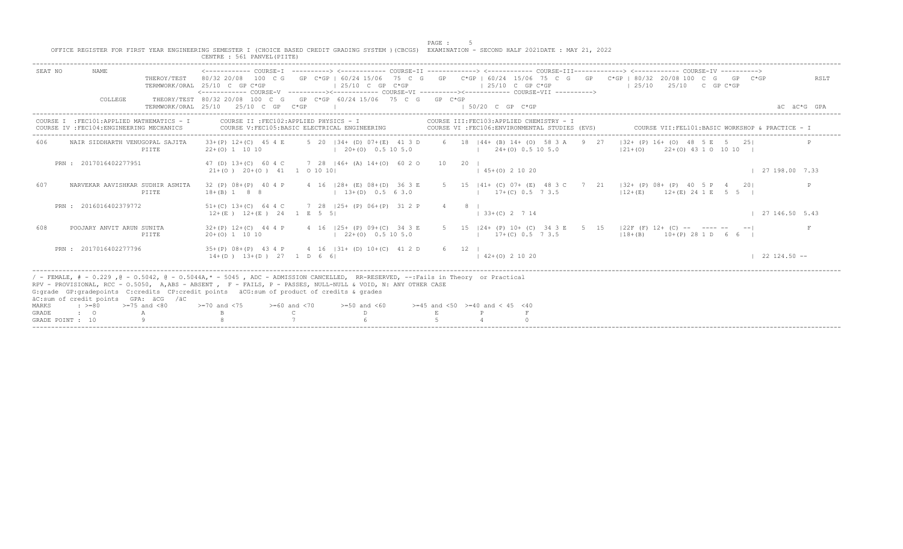|                |                                              |                                                                                         | CENTRE : 561 PANVEL (PIITE)                                                                                                                                                                                                                                                                                                                                           |                   |                                                           | PAGE : | $-5$<br>OFFICE REGISTER FOR FIRST YEAR ENGINEERING SEMESTER I (CHOICE BASED CREDIT GRADING SYSTEM ) (CBCGS) EXAMINATION - SECOND HALF 2021DATE : MAY 21, 2022                                                                                                                                         |               |
|----------------|----------------------------------------------|-----------------------------------------------------------------------------------------|-----------------------------------------------------------------------------------------------------------------------------------------------------------------------------------------------------------------------------------------------------------------------------------------------------------------------------------------------------------------------|-------------------|-----------------------------------------------------------|--------|-------------------------------------------------------------------------------------------------------------------------------------------------------------------------------------------------------------------------------------------------------------------------------------------------------|---------------|
| SEAT NO        | <b>NAME</b>                                  | THEROY/TEST                                                                             | TERMWORK/ORAL 25/10 C GP C*GP                                                                                                                                                                                                                                                                                                                                         |                   | $\vert$ 25/10 C GP C*GP                                   |        | 80/32 20/08 100 C G GP C*GP   60/24 15/06 75 C G GP C*GP   60/24 15/06 75 C G GP C*GP   80/32 20/08 100 C G GP<br>$C*GP$<br>$125/10$ C GP C*GP<br>125/10<br>25/10 C GP C*GP<br><------------ COURSE-V    ----------><-----------    COURSE-VI    -----------><----------    COURSE-VII    ----------> | RSLT          |
|                | COLLEGE                                      |                                                                                         | THEORY/TEST 80/32 20/08 100 C G GP C*GP 60/24 15/06 75 C G GP C*GP<br>TERMWORK/ORAL 25/10 25/10 C GP C*GP                                                                                                                                                                                                                                                             |                   |                                                           |        | $1.50/20$ C GP C*GP                                                                                                                                                                                                                                                                                   | äC*G GPA      |
|                |                                              | COURSE I : FEC101: APPLIED MATHEMATICS - I<br>COURSE IV : FEC104: ENGINEERING MECHANICS | COURSE II : FEC102: APPLIED PHYSICS - I<br>COURSE V: FEC105: BASIC ELECTRICAL ENGINEERING                                                                                                                                                                                                                                                                             |                   |                                                           |        | COURSE III: FEC103: APPLIED CHEMISTRY - 1<br>COURSE VI : FEC106: ENVIRONMENTAL STUDIES (EVS)<br>COURSE VII: FELLOL: BASIC WORKSHOP & PRACTICE - I                                                                                                                                                     |               |
| 606            |                                              | NAIR SIDDHARTH VENUGOPAL SAJITA<br>PIITE                                                | $33+(P)$ 12+(C) 45 4 E<br>$22+(0)$ 1 10 10                                                                                                                                                                                                                                                                                                                            |                   | $120+(0)0.5105.0$                                         |        | 5 20 134+ (D) 07+ (E) 41 3 D 6 18 144+ (B) 14+ (O) 58 3 A 9 27<br>$132+$ (P) $16+$ (O) $48$ 5 E 5 25<br>$1 \t24+(0) \t0.5 \t10 \t5.0$<br>$ 21+(0)$ $22+(0)$ 43 1 0 10 10                                                                                                                              |               |
|                | PRN: 2017016402277951                        |                                                                                         | 47 (D) 13+(C) 60 4 C 7 28   46+ (A) 14+(0) 60 2 0<br>$21+ (0)$ $20+ (0)$ $41$ 1 0 10 10                                                                                                                                                                                                                                                                               |                   |                                                           | 10     | $20 \quad 1$<br>$145+(0)21020$                                                                                                                                                                                                                                                                        | 127198.007.33 |
| 607            |                                              | NARVEKAR AAVISHKAR SUDHIR ASMITA<br>PIITE                                               | 32 (P) 08+ (P) 40 4 P<br>$18+(B)$ 1 8 8                                                                                                                                                                                                                                                                                                                               |                   | 4 16   28 + (E) 08 + (D) 36 3 E<br>$1, 13+(D), 0.5, 63.0$ |        | 5 15   41+ (C) 07+ (E) 48 3 C 7 21   32+ (P) 08+ (P) 40 5 P 4<br>201<br>$17+(C)$ 0.5 7 3.5<br>$12+(E)$ $12+(E)$ $24$ 1 E 5 5                                                                                                                                                                          |               |
|                | PRN: 2016016402379772                        |                                                                                         | $51+(C)$ $13+(C)$ 64 4 C<br>$12+(E)$ $12+(E)$ $24$ 1 E 5 5                                                                                                                                                                                                                                                                                                            |                   | 7 28   25+ (P) 06+ (P) 31 2 P                             | 4 -    | 8 <sub>1</sub><br>$133+(C) 2714$                                                                                                                                                                                                                                                                      | 127146.505.43 |
| 608            |                                              | POOJARY ANVIT ARUN SUNITA<br>PIITE                                                      | $32+(P)$ 12+(C) 44 4 P<br>$20+(0)$ 1 10 10                                                                                                                                                                                                                                                                                                                            |                   | 4 16 125+ (P) 09+ (C) 34 3 E<br>$122+(0)0.5105.0$         |        | 5 15 124+ (P) 10+ (C) 34 3 E 5 15 122F (F) 12+ (C) -- ---- -- -- <br>$17+(C)$ 0.5 7 3.5<br>$118+(B)$ $10+(P)$ 28 1 D 6 6 I                                                                                                                                                                            |               |
|                | PRN: 2017016402277796                        |                                                                                         | $35+(P)$ 08+(P) 43 4 P 4 16   31+ (D) 10+(C) 41 2 D<br>$14+(D)$ $13+(D)$ $27$ 1 D 6 6                                                                                                                                                                                                                                                                                 |                   |                                                           | 6 12   | $142+(0)21020$                                                                                                                                                                                                                                                                                        | $122124.50 -$ |
| MARKS<br>GRADE | $\div$ >=80<br>$\cdot$ 0<br>GRADE POINT : 10 | äC:sum of credit points GPA: äCG /äC<br>$>=75$ and $< 80$                               | / - FEMALE, # - 0.229, @ - 0.5042, @ - 0.5044A,* - 5045, ADC - ADMISSION CANCELLED, RR-RESERVED, --:Fails in Theory or Practical<br>RPV - PROVISIONAL, RCC - 0.5050, A,ABS - ABSENT , F - FAILS, P - PASSES, NULL-NULL & VOID, N: ANY OTHER CASE<br>G: grade GP: gradepoints C: credits CP: credit points äCG: sum of product of credits & grades<br>$>=70$ and $<75$ | $>=60$ and $< 70$ | $>=50$ and $<60$                                          |        | $>=45$ and $<50$ $>=40$ and $< 45$ $<40$                                                                                                                                                                                                                                                              |               |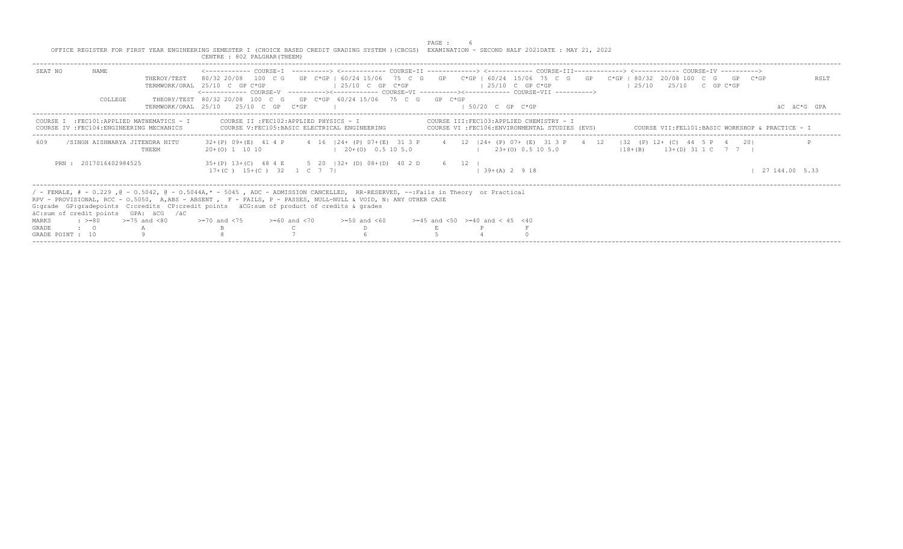|                  |                                       |                                                                                        | OFFICE REGISTER FOR FIRST YEAR ENGINEERING SEMESTER I (CHOICE BASED CREDIT GRADING SYSTEM ) (CBCGS) EXAMINATION - SECOND HALF 2021DATE : MAY 21, 2022<br>CENTRE : 802 PALGHAR (THEEM)                                                                                                                                                                                                                                                                                                                                                              |                       | PAGE : |                                           |                                                                                            |                                                                                                                                                         |                     |
|------------------|---------------------------------------|----------------------------------------------------------------------------------------|----------------------------------------------------------------------------------------------------------------------------------------------------------------------------------------------------------------------------------------------------------------------------------------------------------------------------------------------------------------------------------------------------------------------------------------------------------------------------------------------------------------------------------------------------|-----------------------|--------|-------------------------------------------|--------------------------------------------------------------------------------------------|---------------------------------------------------------------------------------------------------------------------------------------------------------|---------------------|
| SEAT NO          | NAME<br>COLLEGE                       | THEROY/TEST                                                                            | <------------ COURSE-T ----------> <----------- COURSE-TT -------------> <------------ COURSE-TTT------------> <------------ COURSE-TV -----------><br>80/32 20/08 100 C G GP C*GP I 60/24 15/06 75 C G GP C*GP   60/24 15/06 75 C G GP C*GP   80/32 20/08 100 C G GP C*GP<br>TERMWORK/ORAL 25/10 C GP C*GP<br><------------ COURSE-V    ----------><-----------    COURSE-VI    -----------><----------    COURSE-VII    ----------><br>THEORY/TEST 80/32 20/08 100 C G GP C*GP 60/24 15/06 75 C G GP C*GP<br>TERMWORK/ORAL 25/10 25/10 C GP C*GP | $125/10$ C GP C*GP    |        | $125/10$ C GP C*GP<br>$1.50/20$ C GP C*GP |                                                                                            | $125/10$ $25/10$ C GP C*GP                                                                                                                              | RSLT<br>AC AC*G GPA |
|                  |                                       | COURSE I : FEC101:APPLIED MATHEMATICS - I<br>COURSE IV : FEC104: ENGINEERING MECHANICS | COURSE II : FEC102: APPLIED PHYSICS - I<br>COURSE V: FEC105: BASIC ELECTRICAL ENGINEERING                                                                                                                                                                                                                                                                                                                                                                                                                                                          |                       |        |                                           | COURSE III:FEC103:APPLIED CHEMISTRY - I<br>COURSE VI : FEC106: ENVIRONMENTAL STUDIES (EVS) | COURSE VII:FEL101:BASIC WORKSHOP & PRACTICE - I                                                                                                         |                     |
| 609              |                                       | /SINGH AISHWARYA JITENDRA NITU<br><b>THEEM</b>                                         | $20+(0)$ 1 10 10                                                                                                                                                                                                                                                                                                                                                                                                                                                                                                                                   | $(20+ (0) 0.5 10 5.0$ |        |                                           | $(23+ (0) 0.5 10 5.0)$                                                                     | 32+(P) 09+(E) 41 4 P 4 16   24+ (P) 07+(E) 31 3 P 4 12   24+ (P) 07+ (E) 31 3 P 4 12   32 (P) 12+ (C) 44 5 P 4 20 <br>$118+(B)$ $13+(D)$ $31 1 C$ 7 7 1 |                     |
|                  | PRN: 2017016402984525                 |                                                                                        | 35+(P) 13+(C) 48 4 E 5 20   32+ (D) 08+(D) 40 2 D 6 12  <br>$17+(C)$ $15+(C)$ $32$ 1 C 7 7                                                                                                                                                                                                                                                                                                                                                                                                                                                         |                       |        |                                           | $1, 39+(A), 2, 9, 18$                                                                      |                                                                                                                                                         | 27 144.00 5.33      |
| MARKS<br>GRADE   | $\cdot$ $> = 80$<br>$\cdot$ $\cdot$ 0 | äC:sum of credit points GPA: äCG /äC<br>$>=75$ and $<80$                               | / - FEMALE, # - 0.229, @ - 0.5042, @ - 0.5044A,* - 5045, ADC - ADMISSION CANCELLED, RR-RESERVED, --:Fails in Theory or Practical<br>RPV - PROVISIONAL, RCC - 0.5050, A,ABS - ABSENT , F - FAILS, P - PASSES, NULL-NULL & VOID, N: ANY OTHER CASE<br>G: grade GP: gradepoints C: credits CP: credit points äCG: sum of product of credits & grades<br>$\ge$ =70 and <75 $\ge$ =60 and <70 $\ge$ =50 and <60 $\ge$ =45 and <50 $\ge$ =40 and < 45 <40                                                                                                |                       |        |                                           |                                                                                            |                                                                                                                                                         |                     |
| GRADE POINT : 10 |                                       |                                                                                        |                                                                                                                                                                                                                                                                                                                                                                                                                                                                                                                                                    |                       |        |                                           |                                                                                            |                                                                                                                                                         |                     |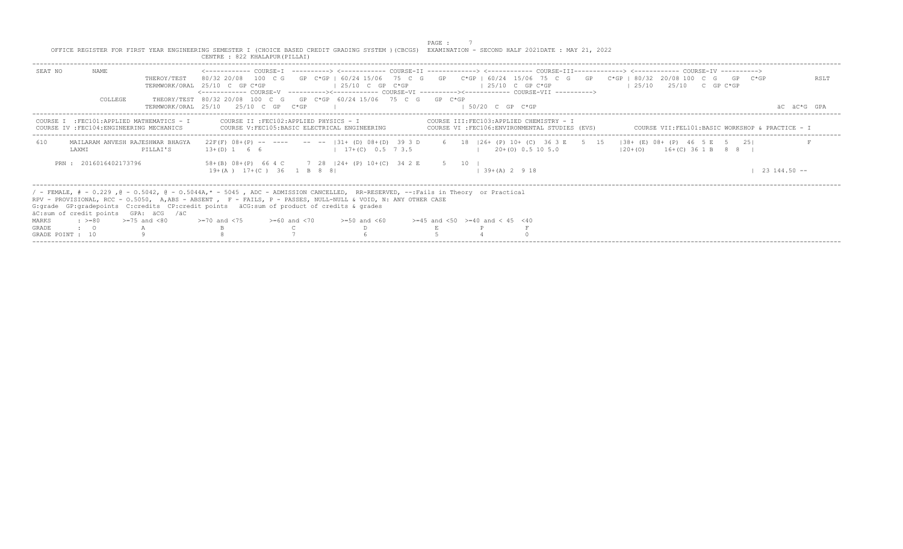|                                  |                       |                                                                                         | OFFICE REGISTER FOR FIRST YEAR ENGINEERING SEMESTER I (CHOICE BASED CREDIT GRADING SYSTEM ) (CBCGS) EXAMINATION - SECOND HALF 2021DATE : MAY 21, 2022<br>CENTRE : 822 KHALAPUR (PILLAI)                                                                                                                                                                                                                                                                                                                     |                    | PAGE : |                     |                                                                                            |                                                 |                                   |  |                  |
|----------------------------------|-----------------------|-----------------------------------------------------------------------------------------|-------------------------------------------------------------------------------------------------------------------------------------------------------------------------------------------------------------------------------------------------------------------------------------------------------------------------------------------------------------------------------------------------------------------------------------------------------------------------------------------------------------|--------------------|--------|---------------------|--------------------------------------------------------------------------------------------|-------------------------------------------------|-----------------------------------|--|------------------|
| SEAT NO                          | NAME<br>COLLEGE       | THEROY/TEST                                                                             | <------------ COURSE-T ----------> <----------- COURSE-TT -------------> <------------ COURSE-TTT------------> <------------ COURSE-TV ----------><br>80/32 20/08 100 C G GP C*GP   60/24 15/06 75 C G GP C*GP   60/24 15/06 75 C G GP C*GP   80/32 20/08 100 C G GP C*GP<br>TERMWORK/ORAL 25/10 C GP C*GP<br><------------- COURSE-V    ----------><-----------    COURSE-VI    -----------><----------    COURSE-VII    ----------><br>THEORY/TEST 80/32 20/08 100 C G GP C*GP 60/24 15/06 75 C G GP C*GP | $125/10$ C GP C*GP |        | $125/10$ C GP C*GP  |                                                                                            | $125/10$ $25/10$ C GP C*GP                      |                                   |  | RSLT             |
|                                  |                       |                                                                                         | TERMWORK/ORAL 25/10 25/10 C GP C*GP                                                                                                                                                                                                                                                                                                                                                                                                                                                                         |                    |        | $1.50/20$ C GP C*GP |                                                                                            |                                                 |                                   |  | AC AC*G GPA      |
|                                  |                       | COURSE I : FEC101: APPLIED MATHEMATICS - I<br>COURSE IV : FEC104: ENGINEERING MECHANICS | COURSE II : FEC102: APPLIED PHYSICS - I<br>COURSE V: FEC105: BASIC ELECTRICAL ENGINEERING                                                                                                                                                                                                                                                                                                                                                                                                                   |                    |        |                     | COURSE III:FEC103:APPLIED CHEMISTRY - I<br>COURSE VI : FEC106: ENVIRONMENTAL STUDIES (EVS) | COURSE VII:FEL101:BASIC WORKSHOP & PRACTICE - I |                                   |  |                  |
| 610                              | <b>T.AXMT</b>         | MAILARAM ANVESH RAJESHWAR BHAGYA<br>PILLAI'S                                            | 22F(F) 08+(P) -- ---- -- --  31+(D) 08+(D) 39 3 D 6 18  26+(P) 10+(C) 36 3 E 5 15  38+(E) 08+(P) 46 5 E 5 25 <br>$13+(D) 1 6 6$ $17+(C) 0.5 7 3.5$                                                                                                                                                                                                                                                                                                                                                          |                    |        |                     | $1 \t20+ (0) \t0.5 \t10 \t5.0$                                                             |                                                 | $120+ (0)$ $16+ (C)$ 36 1 B 8 8 I |  |                  |
|                                  | PRN: 2016016402173796 |                                                                                         | 58+(B) 08+(P) 66 4 C 7 28   24+ (P) 10+(C) 34 2 E 5 10  <br>$19+(A)$ $17+(C)$ 36 1 B 8 8                                                                                                                                                                                                                                                                                                                                                                                                                    |                    |        | $139+(A)2918$       |                                                                                            |                                                 |                                   |  | $23\ 144.50 - -$ |
|                                  |                       | äC:sum of credit points GPA: äCG /äC                                                    | / - FEMALE, # - 0.229 , @ - 0.5042, @ - 0.5044A,* - 5045 , ADC - ADMISSION CANCELLED, RR-RESERVED, --:Fails in Theory or Practical<br>RPV - PROVISIONAL, RCC - 0.5050, A,ABS - ABSENT , F - FAILS, P - PASSES, NULL-NULL & VOID, N: ANY OTHER CASE<br>G: grade GP: gradepoints C: credits CP: credit points äCG: sum of product of credits & grades                                                                                                                                                         |                    |        |                     |                                                                                            |                                                 |                                   |  |                  |
| MARKS                            | $\cdot$ >=80          | $>=75$ and $< 80$                                                                       | $>1$ 20 and $<$ 75 $>$ $>160$ and $<$ 70 $>$ $>150$ and $<$ 60 $>$ $>145$ and $<$ 50 $>$ $=$ 40 and $<$ 45 $<$ 40                                                                                                                                                                                                                                                                                                                                                                                           |                    |        |                     |                                                                                            |                                                 |                                   |  |                  |
| <b>GRADE</b><br>GRADE POINT : 10 | $\cdot$ $\cdot$ 0     |                                                                                         |                                                                                                                                                                                                                                                                                                                                                                                                                                                                                                             |                    |        |                     |                                                                                            |                                                 |                                   |  |                  |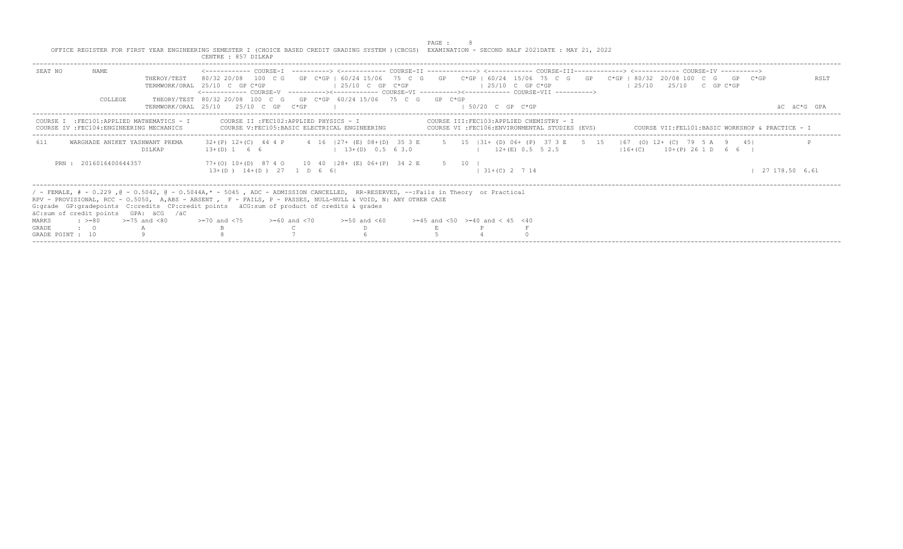|                                                                                                                                                                                                                                                                                                                                                                                                                  |                   | CENTRE : 857 DILKAP                                                                                                                         |                                         | PAGE : | OFFICE REGISTER FOR FIRST YEAR ENGINEERING SEMESTER I (CHOICE BASED CREDIT GRADING SYSTEM ) (CBCGS) EXAMINATION - SECOND HALF 2021DATE : MAY 21, 2022               |                                                                                                                                                                                                                                                                                                         |                     |
|------------------------------------------------------------------------------------------------------------------------------------------------------------------------------------------------------------------------------------------------------------------------------------------------------------------------------------------------------------------------------------------------------------------|-------------------|---------------------------------------------------------------------------------------------------------------------------------------------|-----------------------------------------|--------|---------------------------------------------------------------------------------------------------------------------------------------------------------------------|---------------------------------------------------------------------------------------------------------------------------------------------------------------------------------------------------------------------------------------------------------------------------------------------------------|---------------------|
| SEAT NO<br>NAME<br>COLLEGE                                                                                                                                                                                                                                                                                                                                                                                       | THEROY/TEST       | TERMWORK/ORAL 25/10 C GP C*GP<br>THEORY/TEST 80/32 20/08 100 C G GP C*GP 60/24 15/06 75 C G GP C*GP<br>TERMWORK/ORAT, 25/10 25/10 C GP C*GP | $125/10$ C GP C*GP                      |        | $125/10$ C GP C*GP<br><------------ COURSE-V    ----------><-----------    COURSE-VI    -----------><----------    COURSE-VII    ----------><br>$1.50/20$ C GP C*GP | <------------ COURSE-T ----------> <----------- COURSE-TT -------------> <------------ COURSE-TTT------------> <------------ COURSE-TV ----------><br>80/32 20/08 100 C G GP C*GP I 60/24 15/06 75 C G GP C*GP   60/24 15/06 75 C G GP C*GP   80/32 20/08 100 C G GP C*GP<br>$125/10$ $25/10$ C GP C*GP | RSLT<br>AC AC*G GPA |
| COURSE I : FEC101: APPLIED MATHEMATICS - I<br>COURSE IV : FEC104: ENGINEERING MECHANICS                                                                                                                                                                                                                                                                                                                          |                   | COURSE V: FEC105: BASIC ELECTRICAL ENGINEERING                                                                                              | COURSE II : FEC102: APPLIED PHYSICS - I |        | COURSE III:FEC103:APPLIED CHEMISTRY - I<br>COURSE VI :FEC106:ENVIRONMENTAL STUDIES (EVS)                                                                            | COURSE VII:FEL101:BASIC WORKSHOP & PRACTICE - I                                                                                                                                                                                                                                                         |                     |
| WARGHADE ANIKET YASHWANT PREMA<br>611                                                                                                                                                                                                                                                                                                                                                                            | DILKAP            | $13+(D)$ 1 6 6 1 $13+(D)$ 0.5 6 3.0 1 $12+(E)$ 0.5 5 2.5                                                                                    |                                         |        |                                                                                                                                                                     | 32+(P) 12+(C) 44 4 P 4 16   27+ (E) 08+(D) 35 3 E 5 15   31+ (D) 06+ (P) 37 3 E 5 15   67 (O) 12+ (C) 79 5 A 9 45<br>$116 + (C)$ $10 + (P)$ 26 1 D 6 6 I                                                                                                                                                |                     |
| PRN: 2016016400644357                                                                                                                                                                                                                                                                                                                                                                                            |                   | 77+(0) 10+(D) 87 4 0 10 40   28+ (E) 06+ (P) 34 2 E 5 10  <br>$13+(D)$ $14+(D)$ $27$ 1 D 6 6                                                |                                         |        | $1, 31+(C)$ 2 7 14                                                                                                                                                  |                                                                                                                                                                                                                                                                                                         | 27 178.50 6.61      |
| / - FEMALE, # - 0.229, @ - 0.5042, @ - 0.5044A,* - 5045, ADC - ADMISSION CANCELLED, RR-RESERVED, --:Fails in Theory or Practical<br>RPV - PROVISIONAL, RCC - 0.5050, A.ABS - ABSENT , F - FAILS, P - PASSES, NULL-NULL & VOID, N: ANY OTHER CASE<br>G: grade GP: gradepoints C: credits CP: credit points äCG: sum of product of credits & grades<br>äC:sum of credit points GPA: äCG /äC<br>MARKS<br>$: z = 80$ | $>=75$ and $< 80$ | $> = 70$ and $< 75$ $> = 60$ and $< 70$ $> = 50$ and $< 60$ $> = 45$ and $< 50$ $> = 40$ and $< 45$ $< 40$                                  |                                         |        |                                                                                                                                                                     |                                                                                                                                                                                                                                                                                                         |                     |
| <b>GRADE</b><br>$\cdot$ 0                                                                                                                                                                                                                                                                                                                                                                                        |                   |                                                                                                                                             |                                         |        |                                                                                                                                                                     |                                                                                                                                                                                                                                                                                                         |                     |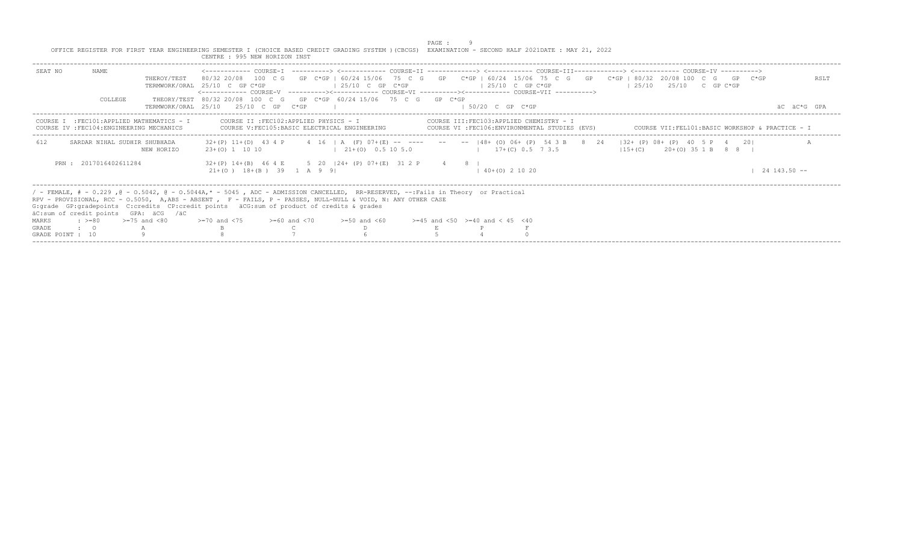|                                                                                                                                                       | PAGE : |
|-------------------------------------------------------------------------------------------------------------------------------------------------------|--------|
| OFFICE REGISTER FOR FIRST YEAR ENGINEERING SEMESTER I (CHOICE BASED CREDIT GRADING SYSTEM ) (CBCGS) EXAMINATION - SECOND HALF 2021DATE : MAY 21, 2022 |        |
| CENTRE . 995 NEW HORIZON INST                                                                                                                         |        |

| SEAT NO               | NAME.                         | THEROY/TEST                                                                                                                                                                                                                                                                                                                                                                                                                                                                        | 80/32 20/08 100 C G GP C*GP   60/24 15/06 75 C G GP C*GP   60/24 15/06 75 C G GP C*GP   80/32 20/08 100 C G GP C*GP<br>TERMWORK/ORAI, 25/10 C GP C*GP<br><------------ COURSE-V ----------><----------- COURSE-VI ----------><------------ COURSE-VII ----------> |                                         | $125/10$ C GP C*GP                                                                                                 |                                          | $125/10$ C GP C*GP |                            |                                                                                            | $125/10$ $25/10$ C GP C*GP |                         |  | RSLT                                            |
|-----------------------|-------------------------------|------------------------------------------------------------------------------------------------------------------------------------------------------------------------------------------------------------------------------------------------------------------------------------------------------------------------------------------------------------------------------------------------------------------------------------------------------------------------------------|-------------------------------------------------------------------------------------------------------------------------------------------------------------------------------------------------------------------------------------------------------------------|-----------------------------------------|--------------------------------------------------------------------------------------------------------------------|------------------------------------------|--------------------|----------------------------|--------------------------------------------------------------------------------------------|----------------------------|-------------------------|--|-------------------------------------------------|
|                       | COLLEGE                       |                                                                                                                                                                                                                                                                                                                                                                                                                                                                                    | THEORY/TEST 80/32 20/08 100 C G GP C*GP 60/24 15/06 75 C G GP C*GP<br>TERMWORK/ORAL 25/10 25/10 C GP C*GP                                                                                                                                                         |                                         |                                                                                                                    |                                          |                    | $1.50/20$ C GP C*GP        |                                                                                            |                            |                         |  | äC äC*G GPA                                     |
| COURSE.               |                               | I : FEC101: APPLIED MATHEMATICS - I<br>COURSE IV : FEC104: ENGINEERING MECHANICS                                                                                                                                                                                                                                                                                                                                                                                                   |                                                                                                                                                                                                                                                                   | COURSE II : FEC102: APPLIED PHYSICS - I | COURSE V: FEC105: BASIC ELECTRICAL ENGINEERING                                                                     |                                          |                    |                            | COURSE III: FEC103: APPLIED CHEMISTRY - I<br>COURSE VI :FEC106:ENVIRONMENTAL STUDIES (EVS) |                            |                         |  | COURSE VII:FEL101:BASIC WORKSHOP & PRACTICE - I |
| 612                   | SARDAR NIHAL SUDHIR SHUBHADA  | NEW HORIZO                                                                                                                                                                                                                                                                                                                                                                                                                                                                         | $32+(P)$ 11+(D) 43 4 P<br>$23+(0)$ 1 10 10                                                                                                                                                                                                                        |                                         | 4 16   A (F) 07+(E) -- ---- -- --  48+ (O) 06+ (P) 54 3 B 8 24   32+ (P) 08+ (P) 40 5 P 4 20 <br>$121+(0)0.5105.0$ |                                          |                    |                            | $17+(C)$ 0.5 7 3.5                                                                         |                            | $115+(C)$ 20+(0) 35 1 B |  |                                                 |
|                       | PRN: 2017016402611284         |                                                                                                                                                                                                                                                                                                                                                                                                                                                                                    |                                                                                                                                                                                                                                                                   | $21+ (0)$ $18+ (B)$ 39 1 A 9 9          | $32+(P)$ $14+(B)$ $464E$ 5 20 $ 24+(P)$ $07+(E)$ 31 2 P 4 8                                                        |                                          |                    | $(1, 40 + (0), 2, 10, 20)$ |                                                                                            |                            |                         |  | $24$ 143.50 $-$                                 |
| MARKS<br><b>GRADE</b> | $\cdot$ 0<br>GRADE POINT : 10 | / - FEMALE, # - 0.229 ,@ - 0.5042, @ - 0.5044A,* - 5045 , ADC - ADMISSION CANCELLED, RR-RESERVED, --:Fails in Theory or Practical<br>RPV - PROVISIONAL, RCC - 0.5050, A.ABS - ABSENT, F - FAILS, P - PASSES, NULL-NULL & VOID, N: ANY OTHER CASE<br>G:grade GP:gradepoints C:credits CP:credit points äCG:sum of product of credits & grades<br>äC:sum of credit points GPA: äCG /äC<br>: $> = 80$ $> = 75$ and $< 80$ $> = 70$ and $< 75$ $> = 60$ and $< 70$ $> = 50$ and $< 60$ |                                                                                                                                                                                                                                                                   |                                         |                                                                                                                    | $>=45$ and $<50$ $>=40$ and $< 45$ $<40$ |                    |                            |                                                                                            |                            |                         |  |                                                 |